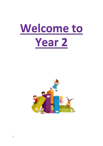

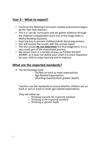# **Year 2 – What to expect?**

- Continue the National Curriculum related assessments begun by the Year One teachers.
- This is a 'can do' curriculum and we gather evidence through the children's independent work End of Key Stage tasks in Maths/Reading (Quizzes).
- Kept low key to prevent children/adults becoming anxious.
- You will receive the results with the annual report.
- The test results **do not determine** the final judgement. It is a very small part of the assessment process.
- We assess them in a variety of ways so PLEASE DO NOT WORRY, as it does not define your child! It is more important for your child to enjoy learning and to improve.

# **What are the expected standards?**

- The terminology used:
	- On/Not on track to meet expectations
	- Age Related Expectations:
	- (Working towards/at/at greater depth)

Teachers use the standards to assess whether children are on track or not on track to meet age related expectations.

They will either be:

- o Working towards the expected standard
- o Working at the expected standard
- o Working at greater depth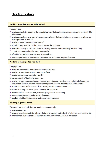# **Reading standards**

### **Working towards the expected standard**

The pupil can:

- read accurately by blending the sounds in words that contain the common graphemes for all 40+ phonemes\*
- read accurately some words of two or more syllables that contain the same grapheme-phoneme correspondences (GPCs)\*
- read many common exception words\*

In a book closely matched to the GPCs as above, the pupil can:

- read aloud many words quickly and accurately without overt sounding and blending
- · sound out many unfamiliar words accurately
- In a familiar book that is read to them, the pupil can:
- answer questions in discussion with the teacher and make simple inferences

#### **Working at the expected standard**

The pupil can:

- read accurately most words of two or more syllables
- read most words containing common suffixes\*
- read most common exception words\*

In age-appropriate<sup>1</sup> books, the pupil can:

- read most words accurately without overt sounding and blending, and sufficiently fluently to allow them to focus on their understanding rather than on decoding individual words<sup>2</sup>
- sound out most unfamiliar words accurately, without undue hesitation

In a book that they can already read fluently, the pupil can:

- check it makes sense to them, correcting any inaccurate reading
- answer questions and make some inferences
- explain what has happened so far in what they have read

#### **Working at greater depth**

The pupil can, in a book they are reading independently:

- make inferences
- make a plausible prediction about what might happen on the basis of what has been read so far
- make links between the book they are reading and other books they have read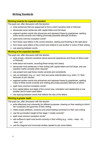## **Writing Standards**

### **Working towards the expected standard**

The pupil can, after discussion with the teacher:

- write sentences that are sequenced to form a short narrative (real or fictional)
- demarcate some sentences with capital letters and full stops
- segment spoken words into phonemes and represent these by graphemes, spelling some words correctly and making phonically-plausible attempts at others
- spell some common exception words\*
- form lower-case letters in the correct direction, starting and finishing in the right place
- form lower-case letters of the correct size relative to one another in some of their writing
- use spacing between words.

#### **Working at the expected standard**

The pupil can, after discussion with the teacher:

- write simple, coherent narratives about personal experiences and those of others (real or fictional)
- write about real events, recording these simply and clearly
- demarcate most sentences in their writing with capital letters and full stops, and use question marks correctly when required
- use present and past tense mostly correctly and consistently
- use co-ordination (e.g. or / and / but) and some subordination (e.g. when / if / that / because) to join clauses
- segment spoken words into phonemes and represent these by graphemes, spelling many of these words correctly and making phonically-plausible attempts at others
- spell many common exception words\*
- form capital letters and digits of the correct size, orientation and relationship to one another and to lower-case letters
- use spacing between words that reflects the size of the letters.

### **Working at greater depth**

The pupil can, after discussion with the teacher:

- write effectively and coherently for different purposes, drawing on their reading to inform the vocabulary and grammar of their writing
- make simple additions, revisions and proof-reading corrections to their own writing
- use the punctuation taught at key stage 1 mostly correctly^
- spell most common exception words\*
- add suffixes to spell most words correctly in their writing (e.g. -ment. -ness. -ful.  $-$ less,  $-$ lv $)^*$
- use the diagonal and horizontal strokes needed to join some letters.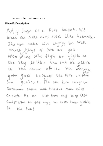Example of a 'Working At' piece of writing:

### **Piece E: Description**

My dragon is a fire dragon. his breth can make cars sisel like dinamite. Isxyou make him angry, he will breath tings of fire at you. Wen when whe flys; he lights up the Sky like the Sun be flive in the center of the Sun when the goso goes to sleep the fire insthe Sun goeSout. He can turn things to Stone, make people catch fire and make things explode. He can allso turn any ting into food of When he gets angry he Will thou your Ch the Sun!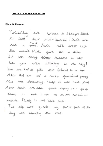### **Piece G: Recount**

Yesterday use went to bishops Mood to look soi mini-beasses. First we had a snack. Next We went into the woods. Vicki gave us a mira It was Nerry Scarry because it was like you were walking in the sty! Then we had to gide our friends to a true After that we had a sincky pointform parriy Mine Mas discussing. Finaly it was linch time! A stor lunch we were pond diping our group Sound a next. Last of all we sorted out animals. Finally it was home time.

Le krip was great! my favrite part of the day was idenafing the trees.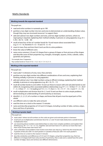## **Maths Standards**

#### Working towards the expected standard

The pupil can:

- read and write numbers in numerals up to 100
- partition a two-digit number into tens and ones to demonstrate an understanding of place value, though they may use structured resources<sup>1</sup> to support them
- add and subtract two-digit numbers and ones, and two-digit numbers and tens, where no regrouping is required, explaining their method verbally, in pictures or using apparatus (e.g.  $23 +$  $5; 46 + 20; 16 - 5; 88 - 30$
- recall at least four of the six<sup>2</sup> number bonds for 10 and reason about associated facts (e.g.  $6 + 4 = 10$ , therefore  $4 + 6 = 10$  and  $10 - 6 = 4$ )
- count in twos, fives and tens from 0 and use this to solve problems
- know the value of different coins
- name some common 2-D and 3-D shapes from a group of shapes or from pictures of the shapes and describe some of their properties (e.g. triangles, rectangles, squares, circles, cuboids, cubes, pyramids and spheres).

<sup>1</sup> For example, base 10 apparatus.

<sup>2</sup> Key number bonds to 10 are: 0+10, 1 + 9, 2 + 8, 3 + 7, 4 + 6, 5 + 5.

#### Working at the expected standard

The pupil can:

- read scales\* in divisions of ones, twos, fives and tens
- partition any two-digit number into different combinations of tens and ones, explaining their thinking verbally, in pictures or using apparatus
- add and subtract any 2 two-digit numbers using an efficient strategy, explaining their method verbally, in pictures or using apparatus (e.g.  $48 + 35$ ;  $72 - 17$ )
- recall all number bonds to and within 10 and use these to reason with and calculate bonds to and within 20, recognising other associated additive relationships (e.g. If  $7 + 3 = 10$  then  $17 + 3 = 20$ ; if  $7-3 = 4$  then  $17-3 = 14$ ; leading to if  $14 + 3 = 17$ , then  $3 + 14 = 17$ ,  $17 - 14 = 3$  and  $17 - 3 = 14$ )
- recall multiplication and division facts for 2, 5 and 10 and use them to solve simple problems, demonstrating an understanding of commutativity as necessary
- identify  $\frac{1}{4}$ ,  $\frac{1}{2}$ ,  $\frac{2}{3}$ ,  $\frac{3}{2}$ , of a number or shape, and know that all parts must be equal parts of the whole
- use different coins to make the same amount
- read the time on a clock to the nearest 15 minutes
- name and describe properties of 2-D and 3-D shapes, including number of sides, vertices, edges, faces and lines of symmetry.

#### **Working at greater depth**

The pupil can:

- read scales\* where not all numbers on the scale are given and estimate points in between
- recall and use multiplication and division facts for 2, 5 and 10 and make deductions outside known multiplication facts
- use reasoning about numbers and relationships to solve more complex problems and explain their thinking (e.g. 29 + 17 = 15 + 4 +  $\Box$ ; 'together Jack and Sam have £14. Jack has £2 more than Sam. How much money does Sam have?' etc)
- solve unfamiliar word problems that involve more than one step (e.g. 'which has the most biscuits, 4 packets of biscuits with 5 in each packet or 3 packets of biscuits with 10 in each packet?')
- read the time on a clock to the nearest 5 minutes
- describe similarities and differences of 2-D and 3-D shapes, using their properties (e.g. that two different 2-D shapes both have only one line of symmetry; that a cube and a cuboid have the same number of edges, faces and vertices, but different dimensions).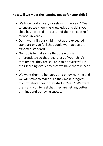# **How will we meet the learning needs for your child?**

- We have worked very closely with the Year 1 Team to ensure we know the knowledge and skills your child has acquired in Year 1 and their 'Next Steps' to work in Year 2.
- Don't worry if your child is not at the expected standard or you feel they could work above the expected standard.
- Our job is to make sure that the work is differentiated so that regardless of your child's attainment, they are still able to be successful in their learning every day that we have them in Year 2!
- We want them to be happy and enjoy learning and we will strive to make sure they make progress from whatever point they start in Year 2. We want them and you to feel that they are getting better at things and achieving success!